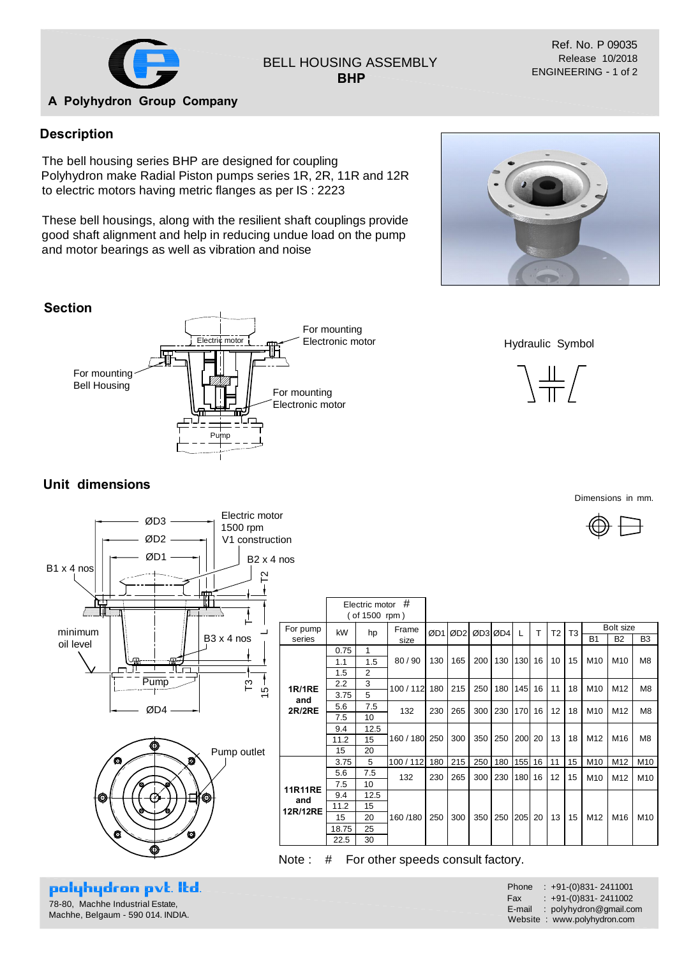

## BELL HOUSING ASSEMBLY **BHP**

Ref. No. P 09035 Release 10/2018 ENGINEERING - 1 of 2

#### **A Polyhydron Group Company**

### **Description**

The bell housing series BHP are designed for coupling Polyhydron make Radial Piston pumps series 1R, 2R, 11R and 12R to electric motors having metric flanges as per IS : 2223

These bell housings, along with the resilient shaft couplings provide good shaft alignment and help in reducing undue load on the pump and motor bearings as well as vibration and noise





Hydraulic Symbol



Dimensions in mm.



# **Unit dimensions**





polyhydron pvt. Itd. 78-80, Machhe Industrial Estate, Machhe, Belgaum - 590 014. INDIA.

| For pump<br>series | kW    |                |           |     |      |     |         |                  |    |                |                |                 |                 |                 |
|--------------------|-------|----------------|-----------|-----|------|-----|---------|------------------|----|----------------|----------------|-----------------|-----------------|-----------------|
|                    |       | hp             | Frame     | ØD1 | ØD21 |     | ØD3 ØD4 | L                | T  | T <sub>2</sub> | T <sub>3</sub> | Bolt size       |                 |                 |
|                    |       |                | size      |     |      |     |         |                  |    |                |                | <b>B1</b>       | <b>B2</b>       | B <sub>3</sub>  |
|                    | 0.75  | 1              | 80/90     | 130 | 165  | 200 | 130     | 130 <sup>l</sup> | 16 | 10             | 15             | M <sub>10</sub> | M10             | M <sub>8</sub>  |
|                    | 1.1   | 1.5            |           |     |      |     |         |                  |    |                |                |                 |                 |                 |
|                    | 1.5   | $\overline{2}$ |           |     |      |     |         |                  |    |                |                |                 |                 |                 |
| <b>1R/1RE</b>      | 2.2   | 3              | 100/112   | 180 | 215  | 250 | 180     | 145              | 16 | 11             | 18             | M <sub>10</sub> | M <sub>12</sub> | M <sub>8</sub>  |
| and                | 3.75  | 5              |           |     |      |     |         |                  |    |                |                |                 |                 |                 |
| <b>2R/2RE</b>      | 5.6   | 7.5            | 132       | 230 | 265  | 300 | 230     | 170I             | 16 | 12             | 18             | M <sub>10</sub> | M <sub>12</sub> | M <sub>8</sub>  |
|                    | 7.5   | 10             |           |     |      |     |         |                  |    |                |                |                 |                 |                 |
|                    | 9.4   | 12.5           | 160 / 180 | 250 | 300  | 350 | 250     | <b>200</b>       | 20 | 13             | 18             | M12             | M <sub>16</sub> | M <sub>8</sub>  |
|                    | 11.2  | 15             |           |     |      |     |         |                  |    |                |                |                 |                 |                 |
|                    | 15    | 20             |           |     |      |     |         |                  |    |                |                |                 |                 |                 |
|                    | 3.75  | 5              | 100/112   | 180 | 215  | 250 | 180     | 155              | 16 | 11             | 15             | M10             | M12             | M10             |
|                    | 5.6   | 7.5            | 132       | 230 | 265  | 300 | 230     | 180              | 16 | 12             | 15             | M <sub>10</sub> | M <sub>12</sub> | M10             |
| <b>11R11RE</b>     | 7.5   | 10             |           |     |      |     |         |                  |    |                |                |                 |                 |                 |
| and                | 9.4   | 12.5           | 160/180   | 250 | 300  | 350 | 250     | 205              | 20 | 13             | 15             | M <sub>12</sub> | M16             | M <sub>10</sub> |
| 12R/12RE           | 11.2  | 15             |           |     |      |     |         |                  |    |                |                |                 |                 |                 |
|                    | 15    | 20             |           |     |      |     |         |                  |    |                |                |                 |                 |                 |
|                    | 18.75 | 25             |           |     |      |     |         |                  |    |                |                |                 |                 |                 |
|                    | 22.5  | 30             |           |     |      |     |         |                  |    |                |                |                 |                 |                 |

Note : # For other speeds consult factory.

| Phone  | $: +91-(0)831 - 2411001$    |
|--------|-----------------------------|
| Fax    | $: +91-(0)831 - 2411002$    |
| E-mail | : polyhydron@gmail.com      |
|        | Website: www.polyhydron.com |